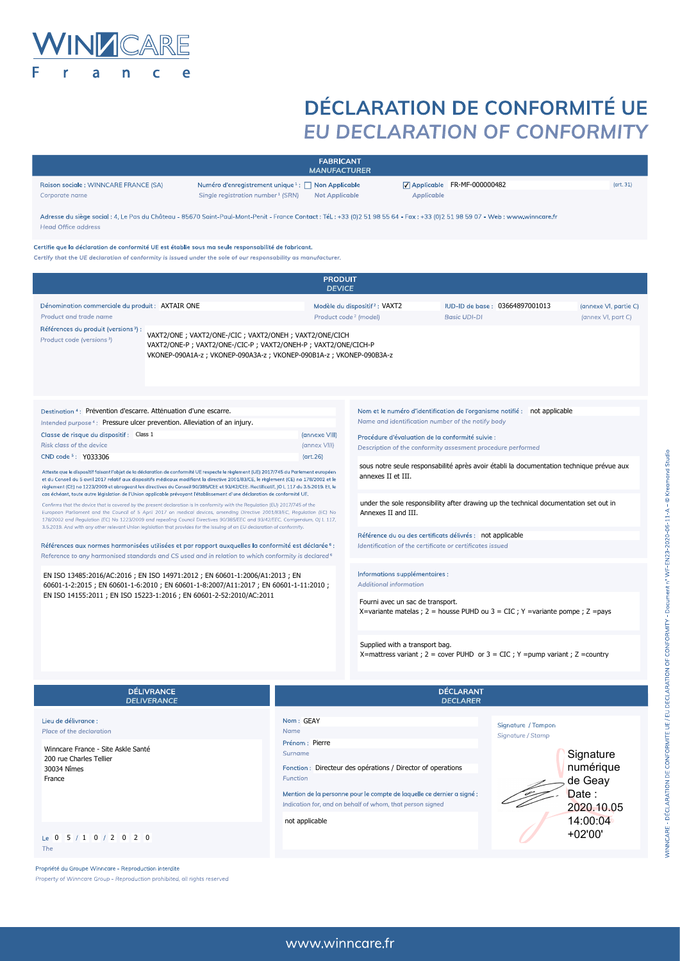

Raison sociale: WINNCARE FRANCE (SA)

Corporate name

## **DÉCLARATION DE CONFORMITÉ UE** EU DECLARATION OF CONFORMITY

FR-MF-000000482

Applicable

|                                                                                                                                                                                                                                                                                                                                                                                                                                                                                                                                                                                                                                                                                                                                                                                                                                                                                                                                                                                                                                                                                                                                                                                                                                                                                                                                                 | Certifie que la déclaration de conformité UE est établie sous ma seule responsabilité de fabricant.<br>Certify that the UE declaration of conformity is issued under the sole of our responsability as manufacturer. |                                      |                                                                                                                                                                                                                                   |                                                                           |                                             |                                             |  |
|-------------------------------------------------------------------------------------------------------------------------------------------------------------------------------------------------------------------------------------------------------------------------------------------------------------------------------------------------------------------------------------------------------------------------------------------------------------------------------------------------------------------------------------------------------------------------------------------------------------------------------------------------------------------------------------------------------------------------------------------------------------------------------------------------------------------------------------------------------------------------------------------------------------------------------------------------------------------------------------------------------------------------------------------------------------------------------------------------------------------------------------------------------------------------------------------------------------------------------------------------------------------------------------------------------------------------------------------------|----------------------------------------------------------------------------------------------------------------------------------------------------------------------------------------------------------------------|--------------------------------------|-----------------------------------------------------------------------------------------------------------------------------------------------------------------------------------------------------------------------------------|---------------------------------------------------------------------------|---------------------------------------------|---------------------------------------------|--|
|                                                                                                                                                                                                                                                                                                                                                                                                                                                                                                                                                                                                                                                                                                                                                                                                                                                                                                                                                                                                                                                                                                                                                                                                                                                                                                                                                 |                                                                                                                                                                                                                      | <b>PRODUIT</b><br><b>DEVICE</b>      |                                                                                                                                                                                                                                   |                                                                           |                                             |                                             |  |
| Dénomination commerciale du produit : AXTAIR ONE<br>Product and trade name                                                                                                                                                                                                                                                                                                                                                                                                                                                                                                                                                                                                                                                                                                                                                                                                                                                                                                                                                                                                                                                                                                                                                                                                                                                                      |                                                                                                                                                                                                                      |                                      | Modèle du dispositif <sup>2</sup> : VAXT2<br>Product code <sup>2</sup> (model)<br><b>Basic UDI-DI</b>                                                                                                                             |                                                                           | IUD-ID de base: 03664897001013              | (annexe VI, partie C)<br>(annex VI, part C) |  |
| Références du produit (versions <sup>3</sup> )<br>Product code (versions <sup>3</sup> )                                                                                                                                                                                                                                                                                                                                                                                                                                                                                                                                                                                                                                                                                                                                                                                                                                                                                                                                                                                                                                                                                                                                                                                                                                                         | VAXT2/ONE; VAXT2/ONE-/CIC; VAXT2/ONEH; VAXT2/ONE/CICH<br>VAXT2/ONE-P; VAXT2/ONE-/CIC-P; VAXT2/ONEH-P; VAXT2/ONE/CICH-P<br>VKONEP-090A1A-z ; VKONEP-090A3A-z ; VKONEP-090B1A-z ; VKONEP-090B3A-z                      |                                      |                                                                                                                                                                                                                                   |                                                                           |                                             |                                             |  |
| Destination <sup>4</sup> : Prévention d'escarre. Atténuation d'une escarre.                                                                                                                                                                                                                                                                                                                                                                                                                                                                                                                                                                                                                                                                                                                                                                                                                                                                                                                                                                                                                                                                                                                                                                                                                                                                     |                                                                                                                                                                                                                      |                                      |                                                                                                                                                                                                                                   | Nom et le numéro d'identification de l'organisme notifié : not applicable |                                             |                                             |  |
|                                                                                                                                                                                                                                                                                                                                                                                                                                                                                                                                                                                                                                                                                                                                                                                                                                                                                                                                                                                                                                                                                                                                                                                                                                                                                                                                                 | Intended purpose <sup>4</sup> : Pressure ulcer prevention. Alleviation of an injury.                                                                                                                                 |                                      |                                                                                                                                                                                                                                   | Name and identification number of the notify body                         |                                             |                                             |  |
| Classe de risque du dispositif : Class 1<br>(annexe VIII)                                                                                                                                                                                                                                                                                                                                                                                                                                                                                                                                                                                                                                                                                                                                                                                                                                                                                                                                                                                                                                                                                                                                                                                                                                                                                       |                                                                                                                                                                                                                      |                                      | Procédure d'évaluation de la conformité suivie :                                                                                                                                                                                  |                                                                           |                                             |                                             |  |
| Risk class of the device                                                                                                                                                                                                                                                                                                                                                                                                                                                                                                                                                                                                                                                                                                                                                                                                                                                                                                                                                                                                                                                                                                                                                                                                                                                                                                                        |                                                                                                                                                                                                                      | (annex VIII)                         |                                                                                                                                                                                                                                   | Description of the conformity assesment procedure performed               |                                             |                                             |  |
| CND code <sup>5</sup> : Y033306<br>(art.26)<br>Atteste que le dispositif faisant l'objet de la déclaration de conformité UE respecte le règlement (UE) 2017/745 du Parlement européen<br>et du Conseil du 5 avril 2017 relatif aux dispositifs médicaux modifiant la directive 2001/83/CE, le règlement (CE) no 178/2002 et le<br>règlement (CE) no 1223/2009 et abrogeant les directives du Conseil 90/385/CEE et 93/42/CEE. Rectificatif, JO L 117 du 3.5.2019. Et, le<br>cas échéant, toute autre législation de l'Union applicable prévoyant l'établissement d'une déclaration de conformité UE.<br>Confirms that the device that is covered by the present declaration is in conformity with the Regulation (EU) 2017/745 of the<br>European Parliament and the Council of 5 April 2017 on medical devices, amending Directive 2001/83/EC, Regulation (EC) No<br>178/2002 and Regulation (EC) No 1223/2009 and repealing Council Directives 90/385/EEC and 93/42/EEC, Corrigendum, OJ L 117,<br>3.5.2019. And with any other relevant Union legislation that provides for the issuing of an EU declaration of conformity.<br>Références aux normes harmonisées utilisées et par rapport auxquelles la conformité est déclarée 6 :<br>Reference to any harmonised standards and CS used and in relation to which conformity is declared $6$ |                                                                                                                                                                                                                      |                                      | sous notre seule responsabilité après avoir établi la documentation technique prévue aux<br>annexes II et III.                                                                                                                    |                                                                           |                                             |                                             |  |
|                                                                                                                                                                                                                                                                                                                                                                                                                                                                                                                                                                                                                                                                                                                                                                                                                                                                                                                                                                                                                                                                                                                                                                                                                                                                                                                                                 |                                                                                                                                                                                                                      |                                      | under the sole responsibility after drawing up the technical documentation set out in<br>Annexes II and III.                                                                                                                      |                                                                           |                                             |                                             |  |
|                                                                                                                                                                                                                                                                                                                                                                                                                                                                                                                                                                                                                                                                                                                                                                                                                                                                                                                                                                                                                                                                                                                                                                                                                                                                                                                                                 |                                                                                                                                                                                                                      |                                      | Référence du ou des certificats délivrés : not applicable<br>Identification of the certificate or certificates issued                                                                                                             |                                                                           |                                             |                                             |  |
| EN ISO 13485:2016/AC:2016 ; EN ISO 14971:2012 ; EN 60601-1:2006/A1:2013 ; EN<br>60601-1-2:2015; EN 60601-1-6:2010; EN 60601-1-8:2007/A11:2017; EN 60601-1-11:2010;<br>EN ISO 14155:2011 ; EN ISO 15223-1:2016 ; EN 60601-2-52:2010/AC:2011                                                                                                                                                                                                                                                                                                                                                                                                                                                                                                                                                                                                                                                                                                                                                                                                                                                                                                                                                                                                                                                                                                      |                                                                                                                                                                                                                      |                                      | Informations supplémentaires :<br><b>Additional information</b>                                                                                                                                                                   |                                                                           |                                             |                                             |  |
|                                                                                                                                                                                                                                                                                                                                                                                                                                                                                                                                                                                                                                                                                                                                                                                                                                                                                                                                                                                                                                                                                                                                                                                                                                                                                                                                                 |                                                                                                                                                                                                                      |                                      | Fourni avec un sac de transport.<br>X=variante matelas ; $2 =$ housse PUHD ou $3 =$ CIC ; $Y =$ variante pompe ; $Z =$ pays                                                                                                       |                                                                           |                                             |                                             |  |
|                                                                                                                                                                                                                                                                                                                                                                                                                                                                                                                                                                                                                                                                                                                                                                                                                                                                                                                                                                                                                                                                                                                                                                                                                                                                                                                                                 |                                                                                                                                                                                                                      |                                      | Supplied with a transport bag.<br>X=mattress variant ; 2 = cover PUHD or 3 = CIC ; Y = pump variant ; Z = country                                                                                                                 |                                                                           |                                             |                                             |  |
|                                                                                                                                                                                                                                                                                                                                                                                                                                                                                                                                                                                                                                                                                                                                                                                                                                                                                                                                                                                                                                                                                                                                                                                                                                                                                                                                                 | <b>DÉLIVRANCE</b><br><b>DELIVERANCE</b>                                                                                                                                                                              | <b>DÉCLARANT</b><br><b>DECLARER</b>  |                                                                                                                                                                                                                                   |                                                                           |                                             |                                             |  |
| Lieu de délivrance<br>Place of the declaration<br>Winncare France - Site Askle Santé<br>200 rue Charles Tellier<br>30034 Nîmes<br>France                                                                                                                                                                                                                                                                                                                                                                                                                                                                                                                                                                                                                                                                                                                                                                                                                                                                                                                                                                                                                                                                                                                                                                                                        |                                                                                                                                                                                                                      | Nom: GEAY<br>Name<br>Prénom : Pierre | <b>Surname</b><br>Fonction : Directeur des opérations / Director of operations<br>Function<br>Mention de la personne pour le compte de laquelle ce dernier a signé :<br>Indication for, and on behalf of whom, that person signed |                                                                           | Signature / Tampon<br>Signature / Stamp     | Signature                                   |  |
|                                                                                                                                                                                                                                                                                                                                                                                                                                                                                                                                                                                                                                                                                                                                                                                                                                                                                                                                                                                                                                                                                                                                                                                                                                                                                                                                                 |                                                                                                                                                                                                                      |                                      |                                                                                                                                                                                                                                   |                                                                           | numérique<br>de Geay<br>Date:<br>2020.10.05 |                                             |  |
| not applicable<br>Le 0 5 / 1 0 / 2 0 2 0<br>The                                                                                                                                                                                                                                                                                                                                                                                                                                                                                                                                                                                                                                                                                                                                                                                                                                                                                                                                                                                                                                                                                                                                                                                                                                                                                                 |                                                                                                                                                                                                                      |                                      |                                                                                                                                                                                                                                   |                                                                           |                                             | 14:00:04<br>$+02'00'$                       |  |

FABRICANT<br>MANUFACTURER

**Not Applicable** 

Numéro d'enregistrement unique<sup>1</sup> : □ Non Applicable

Single registration number<sup>1</sup> (SRN)

 $(art, 31)$